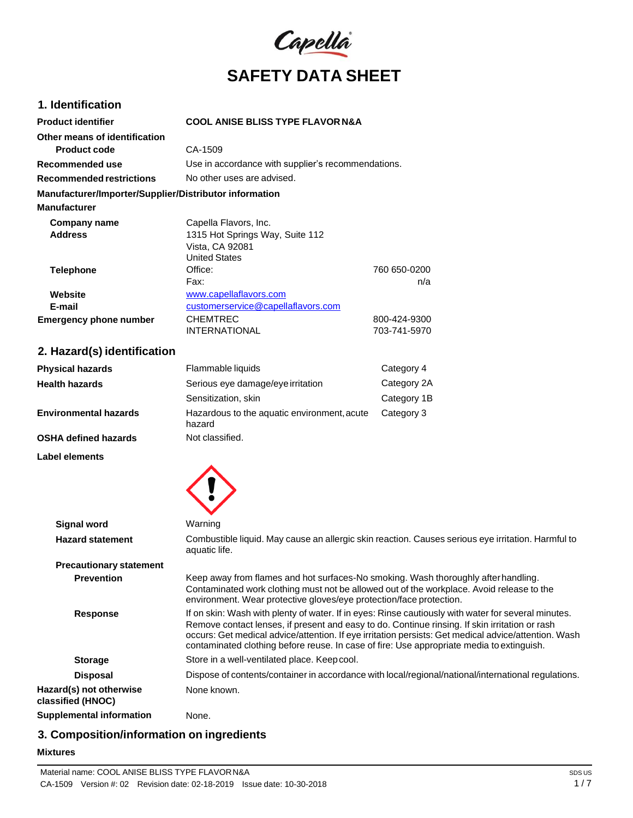

# **1. Identification**

| <b>Product identifier</b>                              | <b>COOL ANISE BLISS TYPE FLAVOR N&amp;A</b>        |              |
|--------------------------------------------------------|----------------------------------------------------|--------------|
| Other means of identification                          |                                                    |              |
| <b>Product code</b>                                    | CA-1509                                            |              |
| Recommended use                                        | Use in accordance with supplier's recommendations. |              |
| Recommended restrictions                               | No other uses are advised.                         |              |
| Manufacturer/Importer/Supplier/Distributor information |                                                    |              |
| <b>Manufacturer</b>                                    |                                                    |              |
| Company name                                           | Capella Flavors, Inc.                              |              |
| <b>Address</b>                                         | 1315 Hot Springs Way, Suite 112                    |              |
|                                                        | Vista, CA 92081                                    |              |
|                                                        | <b>United States</b>                               |              |
| <b>Telephone</b>                                       | Office:                                            | 760 650-0200 |
|                                                        | Fax:                                               | n/a          |
| Website                                                | www.capellaflavors.com                             |              |
| E-mail                                                 | customerservice@capellaflavors.com                 |              |
| <b>Emergency phone number</b>                          | <b>CHEMTREC</b>                                    | 800-424-9300 |
|                                                        | <b>INTERNATIONAL</b>                               | 703-741-5970 |

# **2. Hazard(s) identification**

| <b>Physical hazards</b> | Flammable liquids                                     | Category 4  |
|-------------------------|-------------------------------------------------------|-------------|
| Health hazards          | Serious eye damage/eye irritation                     | Category 2A |
|                         | Sensitization, skin                                   | Category 1B |
| Environmental hazards   | Hazardous to the aquatic environment, acute<br>hazard | Category 3  |
| OSHA defined hazards    | Not classified.                                       |             |

**Label elements**



| <b>Signal word</b>                           | Warning                                                                                                                                                                                                                                                                                                                                                                                                    |
|----------------------------------------------|------------------------------------------------------------------------------------------------------------------------------------------------------------------------------------------------------------------------------------------------------------------------------------------------------------------------------------------------------------------------------------------------------------|
| <b>Hazard statement</b>                      | Combustible liquid. May cause an allergic skin reaction. Causes serious eye irritation. Harmful to<br>aquatic life.                                                                                                                                                                                                                                                                                        |
| <b>Precautionary statement</b>               |                                                                                                                                                                                                                                                                                                                                                                                                            |
| <b>Prevention</b>                            | Keep away from flames and hot surfaces-No smoking. Wash thoroughly after handling.<br>Contaminated work clothing must not be allowed out of the workplace. Avoid release to the<br>environment. Wear protective gloves/eye protection/face protection.                                                                                                                                                     |
| <b>Response</b>                              | If on skin: Wash with plenty of water. If in eyes: Rinse cautiously with water for several minutes.<br>Remove contact lenses, if present and easy to do. Continue rinsing. If skin irritation or rash<br>occurs: Get medical advice/attention. If eye irritation persists: Get medical advice/attention. Wash<br>contaminated clothing before reuse. In case of fire: Use appropriate media to extinguish. |
| <b>Storage</b>                               | Store in a well-ventilated place. Keep cool.                                                                                                                                                                                                                                                                                                                                                               |
| <b>Disposal</b>                              | Dispose of contents/container in accordance with local/regional/national/international regulations.                                                                                                                                                                                                                                                                                                        |
| Hazard(s) not otherwise<br>classified (HNOC) | None known.                                                                                                                                                                                                                                                                                                                                                                                                |
| <b>Supplemental information</b>              | None.                                                                                                                                                                                                                                                                                                                                                                                                      |
|                                              |                                                                                                                                                                                                                                                                                                                                                                                                            |

# **3. Composition/information on ingredients**

### **Mixtures**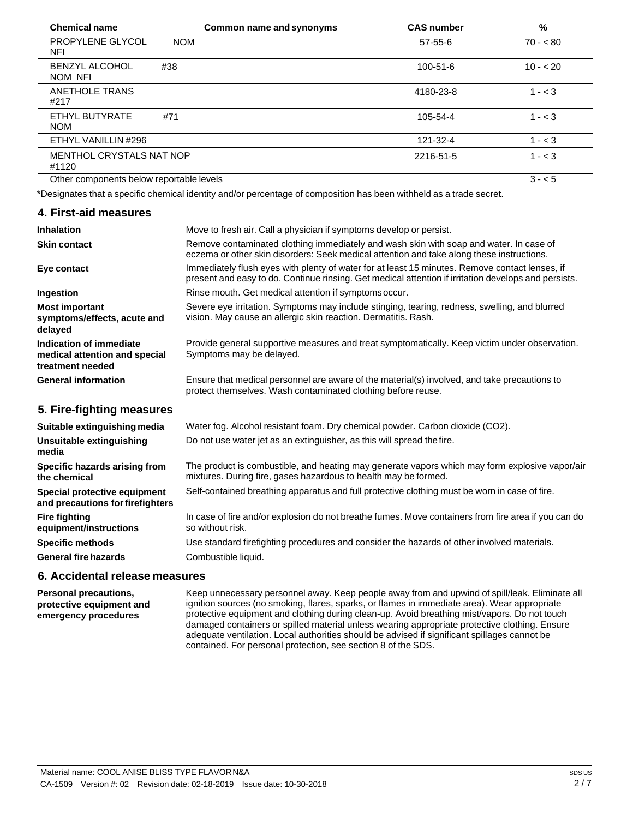| <b>Chemical name</b>                     | Common name and synonyms | <b>CAS number</b> | %         |
|------------------------------------------|--------------------------|-------------------|-----------|
| <b>PROPYLENE GLYCOL</b><br>NFI           | <b>NOM</b>               | 57-55-6           | $70 - 80$ |
| <b>BENZYL ALCOHOL</b><br>NOM NFI         | #38                      | $100 - 51 - 6$    | $10 - 20$ |
| <b>ANETHOLE TRANS</b><br>#217            |                          | 4180-23-8         | $1 - 3$   |
| ETHYL BUTYRATE<br><b>NOM</b>             | #71                      | 105-54-4          | $1 - 3$   |
| ETHYL VANILLIN #296                      |                          | 121-32-4          | $1 - < 3$ |
| MENTHOL CRYSTALS NAT NOP<br>#1120        |                          | 2216-51-5         | $1 - < 3$ |
| Other components below reportable levels |                          |                   | $3 - 5$   |

\*Designates that a specific chemical identity and/or percentage of composition has been withheld as a trade secret.

### **4. First-aid measures**

| <b>Inhalation</b>                                                            | Move to fresh air. Call a physician if symptoms develop or persist.                                                                                                                                    |
|------------------------------------------------------------------------------|--------------------------------------------------------------------------------------------------------------------------------------------------------------------------------------------------------|
| <b>Skin contact</b>                                                          | Remove contaminated clothing immediately and wash skin with soap and water. In case of<br>eczema or other skin disorders: Seek medical attention and take along these instructions.                    |
| Eye contact                                                                  | Immediately flush eyes with plenty of water for at least 15 minutes. Remove contact lenses, if<br>present and easy to do. Continue rinsing. Get medical attention if irritation develops and persists. |
| Ingestion                                                                    | Rinse mouth. Get medical attention if symptoms occur.                                                                                                                                                  |
| <b>Most important</b><br>symptoms/effects, acute and<br>delayed              | Severe eye irritation. Symptoms may include stinging, tearing, redness, swelling, and blurred<br>vision. May cause an allergic skin reaction. Dermatitis. Rash.                                        |
| Indication of immediate<br>medical attention and special<br>treatment needed | Provide general supportive measures and treat symptomatically. Keep victim under observation.<br>Symptoms may be delayed.                                                                              |
| <b>General information</b>                                                   | Ensure that medical personnel are aware of the material(s) involved, and take precautions to<br>protect themselves. Wash contaminated clothing before reuse.                                           |
| 5. Fire-fighting measures                                                    |                                                                                                                                                                                                        |
| Suitable extinguishing media                                                 | Water fog. Alcohol resistant foam. Dry chemical powder. Carbon dioxide (CO2).                                                                                                                          |
| Unsuitable extinguishing<br>media                                            | Do not use water jet as an extinguisher, as this will spread the fire.                                                                                                                                 |
| Specific hazards arising from<br>the chemical                                | The product is combustible, and heating may generate vapors which may form explosive vapor/air<br>mixtures. During fire, gases hazardous to health may be formed.                                      |
| Special protective equipment<br>and precautions for firefighters             | Self-contained breathing apparatus and full protective clothing must be worn in case of fire.                                                                                                          |

In case of fire and/or explosion do not breathe fumes. Move containers from fire area if you can do so without risk.

Use standard firefighting procedures and consider the hazards of other involved materials. Combustible liquid.

#### **6. Accidental release measures**

**Fire fighting**

**equipment/instructions Specific methods General fire hazards**

**Personal precautions, protective equipment and emergency procedures** Keep unnecessary personnel away. Keep people away from and upwind of spill/leak. Eliminate all ignition sources (no smoking, flares, sparks, or flames in immediate area). Wear appropriate protective equipment and clothing during clean-up. Avoid breathing mist/vapors. Do not touch damaged containers or spilled material unless wearing appropriate protective clothing. Ensure adequate ventilation. Local authorities should be advised if significant spillages cannot be contained. For personal protection, see section 8 of the SDS.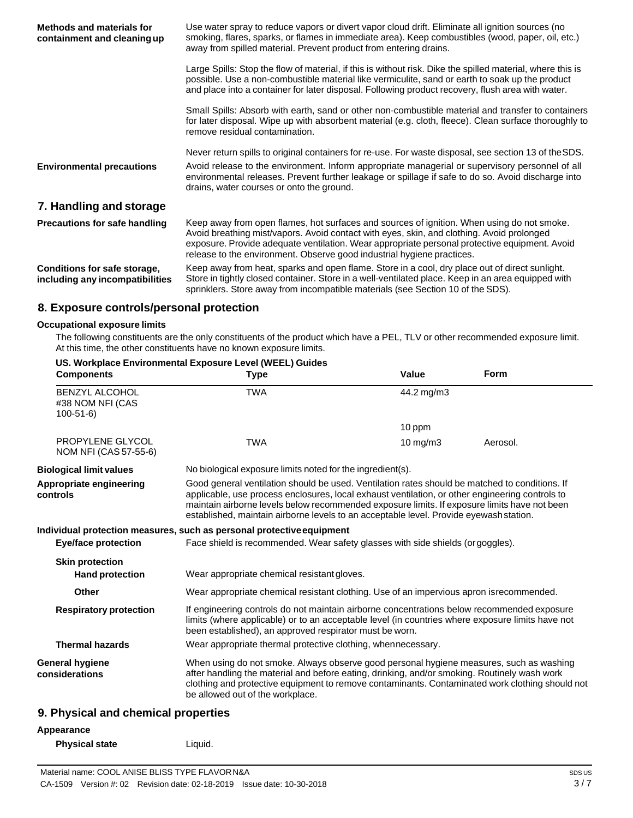| <b>Methods and materials for</b><br>containment and cleaning up | Use water spray to reduce vapors or divert vapor cloud drift. Eliminate all ignition sources (no<br>smoking, flares, sparks, or flames in immediate area). Keep combustibles (wood, paper, oil, etc.)<br>away from spilled material. Prevent product from entering drains.                                                                                         |  |  |
|-----------------------------------------------------------------|--------------------------------------------------------------------------------------------------------------------------------------------------------------------------------------------------------------------------------------------------------------------------------------------------------------------------------------------------------------------|--|--|
|                                                                 | Large Spills: Stop the flow of material, if this is without risk. Dike the spilled material, where this is<br>possible. Use a non-combustible material like vermiculite, sand or earth to soak up the product<br>and place into a container for later disposal. Following product recovery, flush area with water.                                                 |  |  |
|                                                                 | Small Spills: Absorb with earth, sand or other non-combustible material and transfer to containers<br>for later disposal. Wipe up with absorbent material (e.g. cloth, fleece). Clean surface thoroughly to<br>remove residual contamination.                                                                                                                      |  |  |
|                                                                 | Never return spills to original containers for re-use. For waste disposal, see section 13 of the SDS.                                                                                                                                                                                                                                                              |  |  |
| <b>Environmental precautions</b>                                | Avoid release to the environment. Inform appropriate managerial or supervisory personnel of all<br>environmental releases. Prevent further leakage or spillage if safe to do so. Avoid discharge into<br>drains, water courses or onto the ground.                                                                                                                 |  |  |
| 7. Handling and storage                                         |                                                                                                                                                                                                                                                                                                                                                                    |  |  |
| <b>Precautions for safe handling</b>                            | Keep away from open flames, hot surfaces and sources of ignition. When using do not smoke.<br>Avoid breathing mist/vapors. Avoid contact with eyes, skin, and clothing. Avoid prolonged<br>exposure. Provide adequate ventilation. Wear appropriate personal protective equipment. Avoid<br>release to the environment. Observe good industrial hygiene practices. |  |  |
| Conditions for safe storage,<br>including any incompatibilities | Keep away from heat, sparks and open flame. Store in a cool, dry place out of direct sunlight.<br>Store in tightly closed container. Store in a well-ventilated place. Keep in an area equipped with<br>sprinklers. Store away from incompatible materials (see Section 10 of the SDS).                                                                            |  |  |

# **8. Exposure controls/personal protection**

#### **Occupational exposure limits**

The following constituents are the only constituents of the product which have a PEL, TLV or other recommended exposure limit. At this time, the other constituents have no known exposure limits.

| <b>Components</b>                                       | US. Workplace Environmental Exposure Level (WEEL) Guides<br><b>Type</b>                                                                                                                                                                                                                                                                                                                     | <b>Value</b>  | <b>Form</b> |
|---------------------------------------------------------|---------------------------------------------------------------------------------------------------------------------------------------------------------------------------------------------------------------------------------------------------------------------------------------------------------------------------------------------------------------------------------------------|---------------|-------------|
| <b>BENZYL ALCOHOL</b><br>#38 NOM NFI (CAS<br>$100-51-6$ | <b>TWA</b>                                                                                                                                                                                                                                                                                                                                                                                  | 44.2 mg/m3    |             |
|                                                         |                                                                                                                                                                                                                                                                                                                                                                                             | 10 ppm        |             |
| <b>PROPYLENE GLYCOL</b><br>NOM NFI (CAS 57-55-6)        | <b>TWA</b>                                                                                                                                                                                                                                                                                                                                                                                  | $10$ mg/m $3$ | Aerosol.    |
| <b>Biological limit values</b>                          | No biological exposure limits noted for the ingredient(s).                                                                                                                                                                                                                                                                                                                                  |               |             |
| Appropriate engineering<br>controls                     | Good general ventilation should be used. Ventilation rates should be matched to conditions. If<br>applicable, use process enclosures, local exhaust ventilation, or other engineering controls to<br>maintain airborne levels below recommended exposure limits. If exposure limits have not been<br>established, maintain airborne levels to an acceptable level. Provide eyewash station. |               |             |
|                                                         | Individual protection measures, such as personal protective equipment                                                                                                                                                                                                                                                                                                                       |               |             |
| <b>Eye/face protection</b>                              | Face shield is recommended. Wear safety glasses with side shields (or goggles).                                                                                                                                                                                                                                                                                                             |               |             |
| <b>Skin protection</b>                                  |                                                                                                                                                                                                                                                                                                                                                                                             |               |             |
| <b>Hand protection</b>                                  | Wear appropriate chemical resistant gloves.                                                                                                                                                                                                                                                                                                                                                 |               |             |
| <b>Other</b>                                            | Wear appropriate chemical resistant clothing. Use of an impervious apron isrecommended.                                                                                                                                                                                                                                                                                                     |               |             |
| <b>Respiratory protection</b>                           | If engineering controls do not maintain airborne concentrations below recommended exposure<br>limits (where applicable) or to an acceptable level (in countries where exposure limits have not<br>been established), an approved respirator must be worn.                                                                                                                                   |               |             |
| <b>Thermal hazards</b>                                  | Wear appropriate thermal protective clothing, whennecessary.                                                                                                                                                                                                                                                                                                                                |               |             |
| General hygiene<br>considerations                       | When using do not smoke. Always observe good personal hygiene measures, such as washing<br>after handling the material and before eating, drinking, and/or smoking. Routinely wash work<br>clothing and protective equipment to remove contaminants. Contaminated work clothing should not<br>be allowed out of the workplace.                                                              |               |             |
|                                                         |                                                                                                                                                                                                                                                                                                                                                                                             |               |             |

#### **9. Physical and chemical properties**

#### **Appearance**

| <b>Physical state</b> | Liquid. |
|-----------------------|---------|
|-----------------------|---------|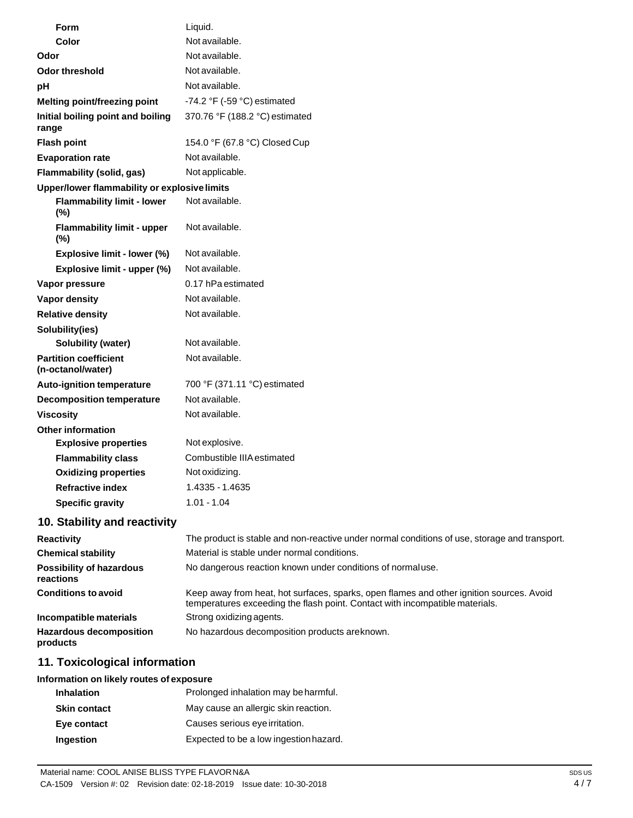| <b>Form</b>                                       | Liquid.                                                                                    |
|---------------------------------------------------|--------------------------------------------------------------------------------------------|
| Color                                             | Not available.                                                                             |
| Odor                                              | Not available.                                                                             |
| <b>Odor threshold</b>                             | Not available.                                                                             |
| pH                                                | Not available.                                                                             |
| Melting point/freezing point                      | -74.2 °F (-59 °C) estimated                                                                |
| Initial boiling point and boiling<br>range        | 370.76 °F (188.2 °C) estimated                                                             |
| <b>Flash point</b>                                | 154.0 °F (67.8 °C) Closed Cup                                                              |
| <b>Evaporation rate</b>                           | Not available.                                                                             |
| Flammability (solid, gas)                         | Not applicable.                                                                            |
| Upper/lower flammability or explosive limits      |                                                                                            |
| <b>Flammability limit - lower</b><br>(%)          | Not available.                                                                             |
| <b>Flammability limit - upper</b><br>(%)          | Not available.                                                                             |
| Explosive limit - lower (%)                       | Not available.                                                                             |
| Explosive limit - upper (%)                       | Not available.                                                                             |
| Vapor pressure                                    | 0.17 hPa estimated                                                                         |
| Vapor density                                     | Not available.                                                                             |
| <b>Relative density</b>                           | Not available.                                                                             |
| Solubility(ies)                                   |                                                                                            |
| <b>Solubility (water)</b>                         | Not available.                                                                             |
| <b>Partition coefficient</b><br>(n-octanol/water) | Not available.                                                                             |
| <b>Auto-ignition temperature</b>                  | 700 °F (371.11 °C) estimated                                                               |
| <b>Decomposition temperature</b>                  | Not available.                                                                             |
| <b>Viscosity</b>                                  | Not available.                                                                             |
| <b>Other information</b>                          |                                                                                            |
| <b>Explosive properties</b>                       | Not explosive.                                                                             |
| <b>Flammability class</b>                         | Combustible IIIA estimated                                                                 |
| <b>Oxidizing properties</b>                       | Not oxidizing.                                                                             |
| <b>Refractive index</b>                           | 1.4335 - 1.4635                                                                            |
| <b>Specific gravity</b>                           | $1.01 - 1.04$                                                                              |
| 10. Stability and reactivity                      |                                                                                            |
| Desativity                                        | The product is atable and non-readive under permal conditions of use, starses and transpor |

| The product is stable and non-reactive under normal conditions of use, storage and transport.                                                                            |  |  |
|--------------------------------------------------------------------------------------------------------------------------------------------------------------------------|--|--|
| Material is stable under normal conditions.                                                                                                                              |  |  |
| No dangerous reaction known under conditions of normal use.                                                                                                              |  |  |
| Keep away from heat, hot surfaces, sparks, open flames and other ignition sources. Avoid<br>temperatures exceeding the flash point. Contact with incompatible materials. |  |  |
| Strong oxidizing agents.                                                                                                                                                 |  |  |
| No hazardous decomposition products are known.                                                                                                                           |  |  |
|                                                                                                                                                                          |  |  |

# **11. Toxicological information**

# **Information on likely routes of exposure**

| <b>Inhalation</b>   | Prolonged inhalation may be harmful.   |
|---------------------|----------------------------------------|
| <b>Skin contact</b> | May cause an allergic skin reaction.   |
| Eye contact         | Causes serious eye irritation.         |
| Ingestion           | Expected to be a low ingestion hazard. |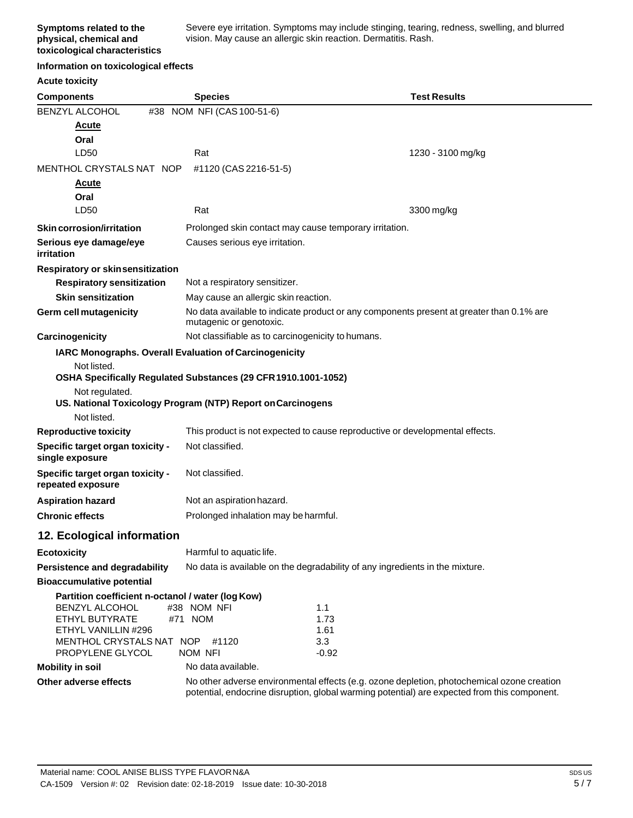Severe eye irritation. Symptoms may include stinging, tearing, redness, swelling, and blurred vision. May cause an allergic skin reaction. Dermatitis. Rash.

#### **Information on toxicological effects**

| <b>Acute toxicity</b>                                 |                                                                              |             |                                                                                                                                                                                            |
|-------------------------------------------------------|------------------------------------------------------------------------------|-------------|--------------------------------------------------------------------------------------------------------------------------------------------------------------------------------------------|
| <b>Components</b>                                     | <b>Species</b>                                                               |             | <b>Test Results</b>                                                                                                                                                                        |
| BENZYL ALCOHOL                                        | #38 NOM NFI (CAS 100-51-6)                                                   |             |                                                                                                                                                                                            |
| <u>Acute</u>                                          |                                                                              |             |                                                                                                                                                                                            |
| Oral                                                  |                                                                              |             |                                                                                                                                                                                            |
| LD50                                                  | Rat                                                                          |             | 1230 - 3100 mg/kg                                                                                                                                                                          |
| MENTHOL CRYSTALS NAT NOP                              | #1120 (CAS 2216-51-5)                                                        |             |                                                                                                                                                                                            |
| <u>Acute</u>                                          |                                                                              |             |                                                                                                                                                                                            |
| Oral<br>LD50                                          | Rat                                                                          |             | 3300 mg/kg                                                                                                                                                                                 |
|                                                       |                                                                              |             |                                                                                                                                                                                            |
| <b>Skin corrosion/irritation</b>                      | Prolonged skin contact may cause temporary irritation.                       |             |                                                                                                                                                                                            |
| Serious eye damage/eye<br>irritation                  | Causes serious eye irritation.                                               |             |                                                                                                                                                                                            |
| Respiratory or skin sensitization                     |                                                                              |             |                                                                                                                                                                                            |
| <b>Respiratory sensitization</b>                      | Not a respiratory sensitizer.                                                |             |                                                                                                                                                                                            |
| <b>Skin sensitization</b>                             | May cause an allergic skin reaction.                                         |             |                                                                                                                                                                                            |
| <b>Germ cell mutagenicity</b>                         | mutagenic or genotoxic.                                                      |             | No data available to indicate product or any components present at greater than 0.1% are                                                                                                   |
| Carcinogenicity                                       | Not classifiable as to carcinogenicity to humans.                            |             |                                                                                                                                                                                            |
|                                                       | IARC Monographs. Overall Evaluation of Carcinogenicity                       |             |                                                                                                                                                                                            |
| Not listed.                                           |                                                                              |             |                                                                                                                                                                                            |
|                                                       | OSHA Specifically Regulated Substances (29 CFR 1910.1001-1052)               |             |                                                                                                                                                                                            |
| Not regulated.                                        | US. National Toxicology Program (NTP) Report on Carcinogens                  |             |                                                                                                                                                                                            |
| Not listed.                                           |                                                                              |             |                                                                                                                                                                                            |
| <b>Reproductive toxicity</b>                          | This product is not expected to cause reproductive or developmental effects. |             |                                                                                                                                                                                            |
| Specific target organ toxicity -<br>single exposure   | Not classified.                                                              |             |                                                                                                                                                                                            |
| Specific target organ toxicity -<br>repeated exposure | Not classified.                                                              |             |                                                                                                                                                                                            |
| <b>Aspiration hazard</b>                              | Not an aspiration hazard.                                                    |             |                                                                                                                                                                                            |
| <b>Chronic effects</b>                                | Prolonged inhalation may be harmful.                                         |             |                                                                                                                                                                                            |
| 12. Ecological information                            |                                                                              |             |                                                                                                                                                                                            |
| <b>Ecotoxicity</b>                                    | Harmful to aquatic life.                                                     |             |                                                                                                                                                                                            |
| Persistence and degradability                         | No data is available on the degradability of any ingredients in the mixture. |             |                                                                                                                                                                                            |
| <b>Bioaccumulative potential</b>                      |                                                                              |             |                                                                                                                                                                                            |
| Partition coefficient n-octanol / water (log Kow)     |                                                                              |             |                                                                                                                                                                                            |
| BENZYL ALCOHOL<br>ETHYL BUTYRATE                      | #38 NOM NFI<br>#71 NOM                                                       | 1.1<br>1.73 |                                                                                                                                                                                            |
| ETHYL VANILLIN #296                                   |                                                                              | 1.61        |                                                                                                                                                                                            |
| MENTHOL CRYSTALS NAT NOP                              | #1120                                                                        | 3.3         |                                                                                                                                                                                            |
| PROPYLENE GLYCOL                                      | <b>NOM NFI</b>                                                               | $-0.92$     |                                                                                                                                                                                            |
| <b>Mobility in soil</b>                               | No data available.                                                           |             |                                                                                                                                                                                            |
| Other adverse effects                                 |                                                                              |             | No other adverse environmental effects (e.g. ozone depletion, photochemical ozone creation<br>potential, endocrine disruption, global warming potential) are expected from this component. |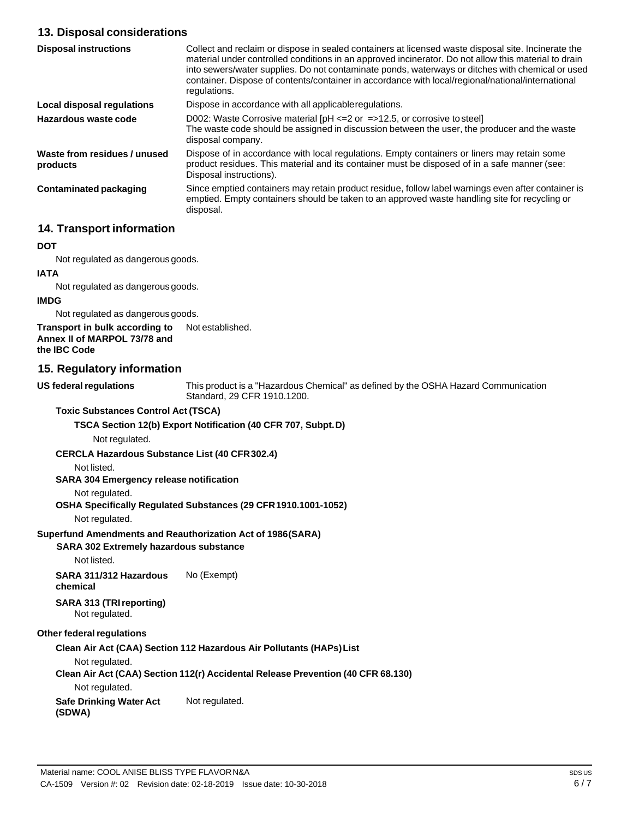# **13. Disposal considerations**

| <b>Disposal instructions</b>             | Collect and reclaim or dispose in sealed containers at licensed waste disposal site. Incinerate the<br>material under controlled conditions in an approved incinerator. Do not allow this material to drain<br>into sewers/water supplies. Do not contaminate ponds, waterways or ditches with chemical or used<br>container. Dispose of contents/container in accordance with local/regional/national/international<br>regulations. |
|------------------------------------------|--------------------------------------------------------------------------------------------------------------------------------------------------------------------------------------------------------------------------------------------------------------------------------------------------------------------------------------------------------------------------------------------------------------------------------------|
| Local disposal regulations               | Dispose in accordance with all applicable regulations.                                                                                                                                                                                                                                                                                                                                                                               |
| Hazardous waste code                     | D002: Waste Corrosive material $[PH \le 2$ or $\Rightarrow$ 12.5, or corrosive to steel<br>The waste code should be assigned in discussion between the user, the producer and the waste<br>disposal company.                                                                                                                                                                                                                         |
| Waste from residues / unused<br>products | Dispose of in accordance with local regulations. Empty containers or liners may retain some<br>product residues. This material and its container must be disposed of in a safe manner (see:<br>Disposal instructions).                                                                                                                                                                                                               |
| Contaminated packaging                   | Since emptied containers may retain product residue, follow label warnings even after container is<br>emptied. Empty containers should be taken to an approved waste handling site for recycling or<br>disposal.                                                                                                                                                                                                                     |

### **14. Transport information**

#### **DOT**

Not regulated as dangerous goods.

# **IATA**

Not regulated as dangerous goods.

# **IMDG**

Not regulated as dangerous goods.

#### **Transport in bulk according to Annex II of MARPOL 73/78 and the IBC Code** Not established.

## **15. Regulatory information**

**US** federal regulations

This product is a "Hazardous Chemical" as defined by the OSHA Hazard Communication Standard, 29 CFR 1910.1200.

#### **Toxic Substances Control Act (TSCA)**

#### **TSCA Section 12(b) Export Notification (40 CFR 707, Subpt.D)**

Not regulated.

#### **CERCLA Hazardous Substance List (40 CFR302.4)**

Not listed.

#### **SARA 304 Emergency release notification**

#### Not regulated.

#### **OSHA Specifically Regulated Substances (29 CFR1910.1001-1052)**

Not regulated.

#### **Superfund Amendments and Reauthorization Act of 1986(SARA)**

#### **SARA 302 Extremely hazardous substance**

Not listed.

**SARA 311/312 Hazardous chemical** No (Exempt)

#### **SARA 313 (TRIreporting)** Not regulated.

#### **Other federal regulations**

#### **Clean Air Act (CAA) Section 112 Hazardous Air Pollutants (HAPs)List**

Not regulated.

# **Clean Air Act (CAA) Section 112(r) Accidental Release Prevention (40 CFR 68.130)**

Not regulated.

#### **Safe Drinking Water Act (SDWA)** Not regulated.